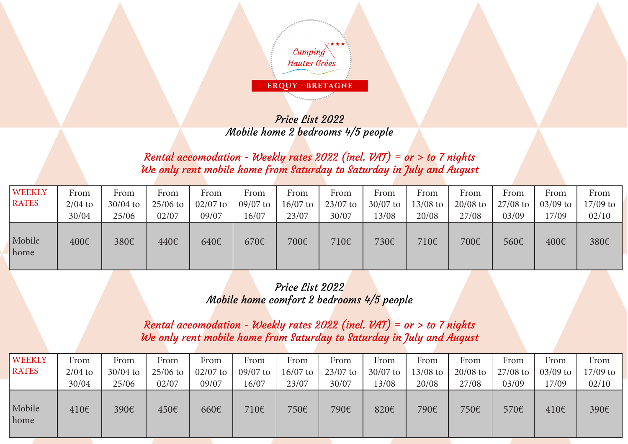

## Price List 2022 Mobile home 2 bedrooms 4/5 people

## Rental accomodation - Weekly rates 2022 (incl.  $VAT$ ) = or > to 7 nights We only rent mobile home from Saturday to Saturday in July and August

| <b>WEEKLY</b><br><b>RATES</b> | From               | From<br>$30/04$ to | From                | From                | From                | From              | From                | From                | From              | From                | From                | From                | From              |
|-------------------------------|--------------------|--------------------|---------------------|---------------------|---------------------|-------------------|---------------------|---------------------|-------------------|---------------------|---------------------|---------------------|-------------------|
|                               | $2/04$ to<br>30/04 | 25/06              | $25/06$ to<br>02/07 | $02/07$ to<br>09/07 | $09/07$ to<br>16/07 | 16/07 to<br>23/07 | $23/07$ to<br>30/07 | $30/07$ to<br>13/08 | 13/08 to<br>20/08 | $20/08$ to<br>27/08 | $27/08$ to<br>03/09 | $03/09$ to<br>17/09 | 17/09 to<br>02/10 |
| Mobile<br>home                | 400€               | 380€               | 440€                | 640€                | 670€                | 700€              | 710€                | 730€                | 710€              | 700€                | 560€                | 400€                | 380€              |

## Price List 2022 Mobile home comfort 2 bedrooms 4/5 people

Rental accomodation - Weekly rates  $2022$  (incl. VAT) = or > to 7 nights We only rent mobile home from Saturday to Saturday in July and August

| <b>WEEKLY</b>  | From      | From       | From       | From       | From       | From     | From       | From       | From       | From       | From       | From       | From       |
|----------------|-----------|------------|------------|------------|------------|----------|------------|------------|------------|------------|------------|------------|------------|
| <b>RATES</b>   | $2/04$ to | $30/04$ to | $25/06$ to | $02/07$ to | $09/07$ to | 16/07 to | $23/07$ to | $30/07$ to | $13/08$ to | $20/08$ to | $27/08$ to | $03/09$ to | $17/09$ to |
|                | 30/04     | 25/06      | 02/07      | 09/07      | 16/07      | 23/07    | 30/07      | 13/08      | 20/08      | 27/08      | 03/09      | 17/09      | 02/10      |
| Mobile<br>home | 410€      | 390€       | 450€       | 660€       | 710€       | 750€     | 790€       | 820€       | 790€       | 750€       | 570€       | 410€       | 390€       |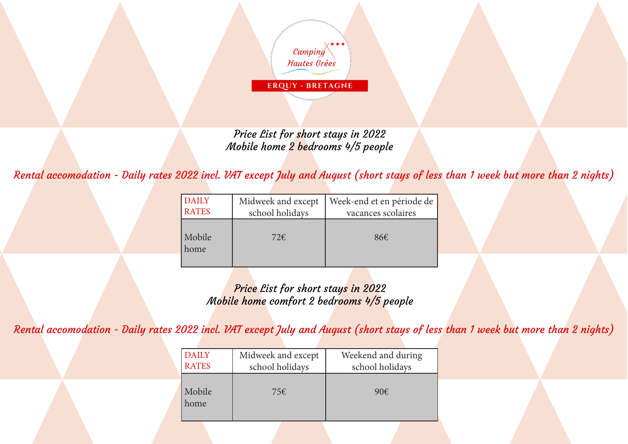

Price List for short stays in 2022 Mobile home 2 bedrooms 4/5 people

Rental accomodation - Daily rates 2022 incl. VAT except July and August (short stays of less than 1 week but more than 2 nights)

| <b>DAILY</b><br><b>RATES</b> | Midweek and except<br>school holidays | Week-end et en période de<br>vacances scolaires |
|------------------------------|---------------------------------------|-------------------------------------------------|
| Mobile<br>home               | 72 $\varepsilon$                      | 86E                                             |

Price List for short stays in 2022 Mobile home comfort 2 bedrooms 4/5 people

Rental accomodation - Daily rates 2022 incl. VAT except July and August (short stays of less than 1 week but more than 2 nights)

| <b>DAILY</b><br><b>RATES</b> | Midweek and except<br>school holidays | Weekend and during<br>school holidays |
|------------------------------|---------------------------------------|---------------------------------------|
| Mobile<br>home               | 75€                                   | $90\epsilon$                          |